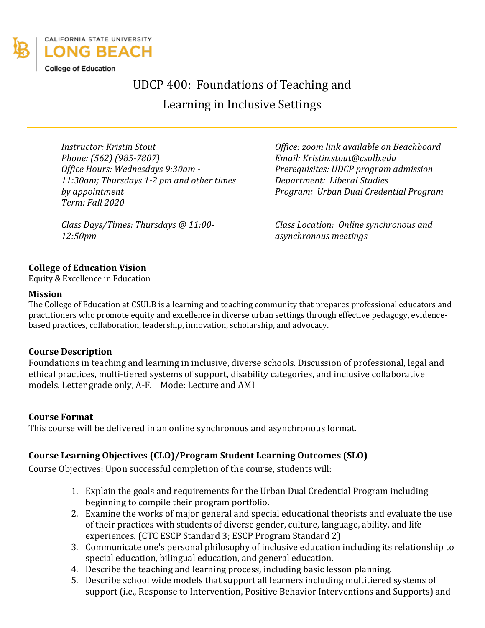

UDCP 400: Foundations of Teaching and

Learning in Inclusive Settings

*Instructor: Kristin Stout Office: zoom link available on Beachboard Phone: (562) (985-7807) Email: Kristin.stout@csulb.edu Office Hours: Wednesdays 9:30am - 11:30am; Thursdays 1-2 pm and other times by appointment Term: Fall 2020*

*Class Days/Times: Thursdays @ 11:00- 12:50pm*

*Prerequisites: UDCP program admission Department: Liberal Studies Program: Urban Dual Credential Program*

*Class Location: Online synchronous and asynchronous meetings*

## **College of Education Vision**

Equity & Excellence in Education

#### **Mission**

The College of Education at CSULB is a learning and teaching community that prepares professional educators and practitioners who promote equity and excellence in diverse urban settings through effective pedagogy, evidencebased practices, collaboration, leadership, innovation, scholarship, and advocacy.

### **Course Description**

Foundations in teaching and learning in inclusive, diverse schools. Discussion of professional, legal and ethical practices, multi-tiered systems of support, disability categories, and inclusive collaborative models. Letter grade only, A-F. Mode: Lecture and AMI

### **Course Format**

This course will be delivered in an online synchronous and asynchronous format.

## **Course Learning Objectives (CLO)/Program Student Learning Outcomes (SLO)**

Course Objectives: Upon successful completion of the course, students will:

- 1. Explain the goals and requirements for the Urban Dual Credential Program including beginning to compile their program portfolio.
- 2. Examine the works of major general and special educational theorists and evaluate the use of their practices with students of diverse gender, culture, language, ability, and life experiences. (CTC ESCP Standard 3; ESCP Program Standard 2)
- 3. Communicate one's personal philosophy of inclusive education including its relationship to special education, bilingual education, and general education.
- 4. Describe the teaching and learning process, including basic lesson planning.
- 5. Describe school wide models that support all learners including multitiered systems of support (i.e., Response to Intervention, Positive Behavior Interventions and Supports) and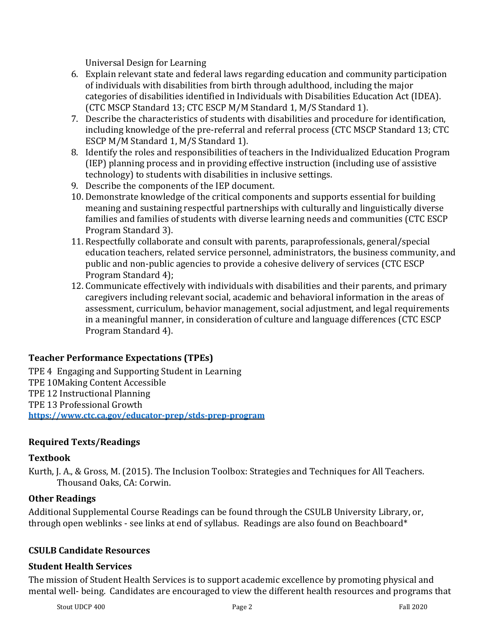Universal Design for Learning

- 6. Explain relevant state and federal laws regarding education and community participation of individuals with disabilities from birth through adulthood, including the major categories of disabilities identified in Individuals with Disabilities Education Act (IDEA). (CTC MSCP Standard 13; CTC ESCP M/M Standard 1, M/S Standard 1).
- 7. Describe the characteristics of students with disabilities and procedure for identification, including knowledge of the pre-referral and referral process (CTC MSCP Standard 13; CTC ESCP M/M Standard 1, M/S Standard 1).
- 8. Identify the roles and responsibilities of teachers in the Individualized Education Program (IEP) planning process and in providing effective instruction (including use of assistive technology) to students with disabilities in inclusive settings.
- 9. Describe the components of the IEP document.
- 10. Demonstrate knowledge of the critical components and supports essential for building meaning and sustaining respectful partnerships with culturally and linguistically diverse families and families of students with diverse learning needs and communities (CTC ESCP Program Standard 3).
- 11. Respectfully collaborate and consult with parents, paraprofessionals, general/special education teachers, related service personnel, administrators, the business community, and public and non-public agencies to provide a cohesive delivery of services (CTC ESCP Program Standard 4);
- 12. Communicate effectively with individuals with disabilities and their parents, and primary caregivers including relevant social, academic and behavioral information in the areas of assessment, curriculum, behavior management, social adjustment, and legal requirements in a meaningful manner, in consideration of culture and language differences (CTC ESCP Program Standard 4).

# **Teacher Performance Expectations (TPEs)**

TPE 4 Engaging and Supporting Student in Learning TPE 10Making Content Accessible TPE 12 Instructional Planning TPE 13 Professional Growth **<https://www.ctc.ca.gov/educator-prep/stds-prep-program>**

# **Required Texts/Readings**

## **Textbook**

Kurth, J. A., & Gross, M. (2015). The Inclusion Toolbox: Strategies and Techniques for All Teachers. Thousand Oaks, CA: Corwin.

## **Other Readings**

Additional Supplemental Course Readings can be found through the CSULB University Library, or, through open weblinks - see links at end of syllabus. Readings are also found on Beachboard\*

## **CSULB Candidate Resources**

## **Student Health Services**

The mission of Student Health Services is to support academic excellence by promoting physical and mental well- being. Candidates are encouraged to view the different health resources and programs that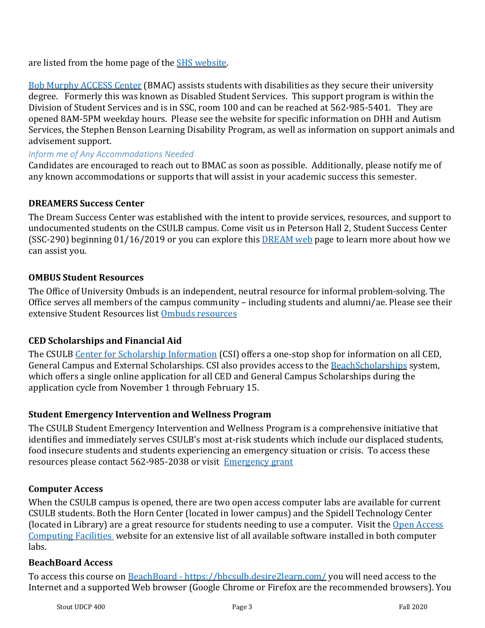are listed from the home page of the **SHS** website.

[Bob Murphy ACCESS Center](http://web.csulb.edu/divisions/students/dss/) (BMAC) assists students with disabilities as they secure their university degree. Formerly this was known as Disabled Student Services. This support program is within the Division of Student Services and is in SSC, room 100 and can be reached at 562-985-5401. They are opened 8AM-5PM weekday hours. Please see the website for specific information on DHH and Autism Services, the Stephen Benson Learning Disability Program, as well as information on support animals and advisement support.

### *Inform me of Any Accommodations Needed*

Candidates are encouraged to reach out to BMAC as soon as possible. Additionally, please notify me of any known accommodations or supports that will assist in your academic success this semester.

### **DREAMERS Success Center**

The Dream Success Center was established with the intent to provide services, resources, and support to undocumented students on the CSULB campus. Come visit us in Peterson Hall 2, Student Success Center (SSC-290) beginning 01/16/2019 or you can explore this **DREAM web** page to learn more about how we can assist you.

### **OMBUS Student Resources**

The Office of University Ombuds is an independent, neutral resource for informal problem-solving. The Office serves all members of the campus community – including students and alumni/ae. Please see their extensive Student Resources list [Ombuds resources](http://web.csulb.edu/president/ombuds/resources/)

### **CED Scholarships and Financial Aid**

The CSULB [Center for Scholarship Information](http://web.csulb.edu/divisions/students/scholarships/) (CSI) offers a one-stop shop for information on all CED, General Campus and External Scholarships. CSI also provides access to the [BeachScholarships](https://csulb.academicworks.com/) system, which offers a single online application for all CED and General Campus Scholarships during the application cycle from November 1 through February 15.

### **Student Emergency Intervention and Wellness Program**

The CSULB Student Emergency Intervention and Wellness Program is a comprehensive initiative that identifies and immediately serves CSULB's most at-risk students which include our displaced students, food insecure students and students experiencing an emergency situation or crisis. To access these resources please contact 562-985-2038 or visit [Emergency grant](http://web.csulb.edu/divisions/students/studentdean/emergency_grant/) 

### **Computer Access**

When the CSULB campus is opened, there are two open access computer labs are available for current CSULB students. Both the Horn Center (located in lower campus) and the Spidell Technology Center (located in Library) are a great resource for students needing to use a computer. Visit the [Open Access](http://www.csulb.edu/library/guide/computing.html)  [Computing Facilities](http://www.csulb.edu/library/guide/computing.html) website for an extensive list of all available software installed in both computer labs.

### **BeachBoard Access**

To access this course on **BeachBoard** - <https://bbcsulb.desire2learn.com/> you will need access to the Internet and a supported Web browser (Google Chrome or Firefox are the recommended browsers). You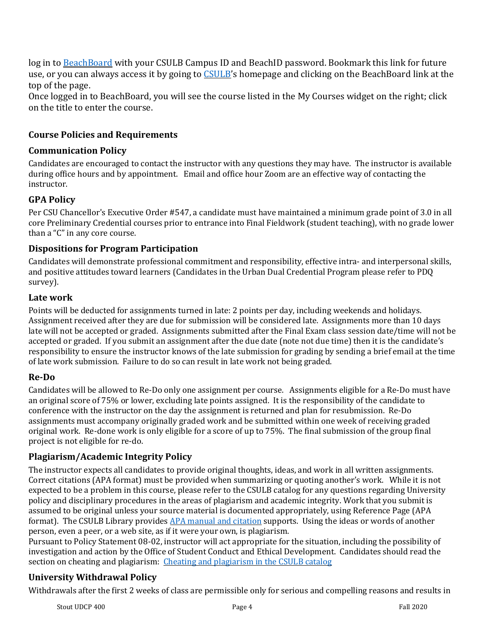log in to [BeachBoard](https://bbcsulb.desire2learn.com/) with your CSULB Campus ID and BeachID password. Bookmark this link for future use, or you can always access it by going to [CSULB'](http://www.csulb.edu/)s homepage and clicking on the BeachBoard link at the top of the page.

Once logged in to BeachBoard, you will see the course listed in the My Courses widget on the right; click on the title to enter the course.

## **Course Policies and Requirements**

## **Communication Policy**

Candidates are encouraged to contact the instructor with any questions they may have. The instructor is available during office hours and by appointment. Email and office hour Zoom are an effective way of contacting the instructor.

## **GPA Policy**

Per CSU Chancellor's Executive Order #547, a candidate must have maintained a minimum grade point of 3.0 in all core Preliminary Credential courses prior to entrance into Final Fieldwork (student teaching), with no grade lower than a "C" in any core course.

## **Dispositions for Program Participation**

Candidates will demonstrate professional commitment and responsibility, effective intra- and interpersonal skills, and positive attitudes toward learners (Candidates in the Urban Dual Credential Program please refer to PDQ survey).

## **Late work**

Points will be deducted for assignments turned in late: 2 points per day, including weekends and holidays. Assignment received after they are due for submission will be considered late. Assignments more than 10 days late will not be accepted or graded. Assignments submitted after the Final Exam class session date/time will not be accepted or graded. If you submit an assignment after the due date (note not due time) then it is the candidate's responsibility to ensure the instructor knows of the late submission for grading by sending a brief email at the time of late work submission. Failure to do so can result in late work not being graded.

## **Re-Do**

Candidates will be allowed to Re-Do only one assignment per course. Assignments eligible for a Re-Do must have an original score of 75% or lower, excluding late points assigned. It is the responsibility of the candidate to conference with the instructor on the day the assignment is returned and plan for resubmission. Re-Do assignments must accompany originally graded work and be submitted within one week of receiving graded original work. Re-done work is only eligible for a score of up to 75%. The final submission of the group final project is not eligible for re-do.

## **Plagiarism/Academic Integrity Policy**

The instructor expects all candidates to provide original thoughts, ideas, and work in all written assignments. Correct citations (APA format) must be provided when summarizing or quoting another's work. While it is not expected to be a problem in this course, please refer to the CSULB catalog for any questions regarding University policy and disciplinary procedures in the areas of plagiarism and academic integrity. Work that you submit is assumed to be original unless your source material is documented appropriately, using Reference Page (APA format). The CSULB Library provide[s APA manual and citation](https://csulb.libguides.com/style/APA) supports. Using the ideas or words of another person, even a peer, or a web site, as if it were your own, is plagiarism.

Pursuant to Policy Statement 08-02, instructor will act appropriate for the situation, including the possibility of investigation and action by the Office of Student Conduct and Ethical Development. Candidates should read the section on cheating and plagiarism: [Cheating and plagiarism in the CSULB catalog](http://catalog.csulb.edu/content.php?catoid=5&navoid=369)

# **University Withdrawal Policy**

Withdrawals after the first 2 weeks of class are permissible only for serious and compelling reasons and results in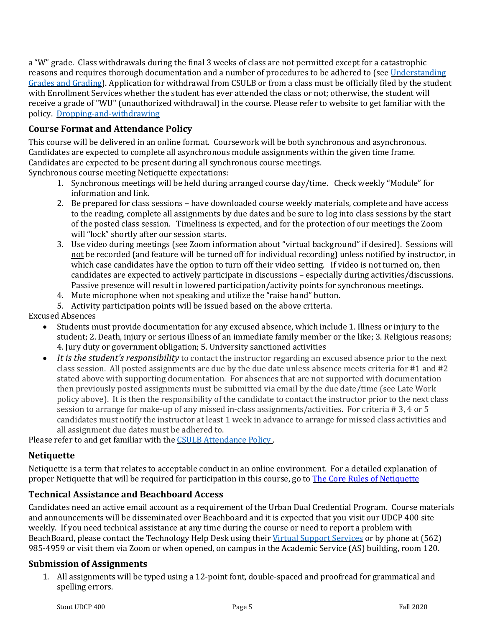a "W" grade. Class withdrawals during the final 3 weeks of class are not permitted except for a catastrophic reasons and requires thorough documentation and a number of procedures to be adhered to (see [Understanding](http://www.csulb.edu/depts/enrollment/student_academic_records/grading.html)  [Grades and Grading\)](http://www.csulb.edu/depts/enrollment/student_academic_records/grading.html). Application for withdrawal from CSULB or from a class must be officially filed by the student with Enrollment Services whether the student has ever attended the class or not; otherwise, the student will receive a grade of "WU" (unauthorized withdrawal) in the course. Please refer to website to get familiar with the policy. [Dropping-and-withdrawing](http://www.csulb.edu/student-records/dropping-and-withdrawing)

### **Course Format and Attendance Policy**

This course will be delivered in an online format. Coursework will be both synchronous and asynchronous. Candidates are expected to complete all asynchronous module assignments within the given time frame. Candidates are expected to be present during all synchronous course meetings.

Synchronous course meeting Netiquette expectations:

- 1. Synchronous meetings will be held during arranged course day/time. Check weekly "Module" for information and link.
- 2. Be prepared for class sessions have downloaded course weekly materials, complete and have access to the reading, complete all assignments by due dates and be sure to log into class sessions by the start of the posted class session. Timeliness is expected, and for the protection of our meetings the Zoom will "lock" shortly after our session starts.
- 3. Use video during meetings (see Zoom information about "virtual background" if desired). Sessions will not be recorded (and feature will be turned off for individual recording) unless notified by instructor, in which case candidates have the option to turn off their video setting. If video is not turned on, then candidates are expected to actively participate in discussions – especially during activities/discussions. Passive presence will result in lowered participation/activity points for synchronous meetings.
- 4. Mute microphone when not speaking and utilize the "raise hand" button.

5. Activity participation points will be issued based on the above criteria.

- Excused Absences
	- Students must provide documentation for any excused absence, which include 1. Illness or injury to the student; 2. Death, injury or serious illness of an immediate family member or the like; 3. Religious reasons; 4. Jury duty or government obligation; 5. University sanctioned activities
	- *It is the student's responsibility* to contact the instructor regarding an excused absence prior to the next class session. All posted assignments are due by the due date unless absence meets criteria for #1 and #2 stated above with supporting documentation. For absences that are not supported with documentation then previously posted assignments must be submitted via email by the due date/time (see Late Work policy above). It is then the responsibility of the candidate to contact the instructor prior to the next class session to arrange for make-up of any missed in-class assignments/activities. For criteria # 3, 4 or 5 candidates must notify the instructor at least 1 week in advance to arrange for missed class activities and all assignment due dates must be adhered to.

Please refer to and get familiar with the CSULB Attendance Policy.

### **Netiquette**

Netiquette is a term that relates to acceptable conduct in an online environment. For a detailed explanation of proper Netiquette that will be required for participation in this course, go to **The Core Rules of Netiquette** 

### **Technical Assistance and Beachboard Access**

Candidates need an active email account as a requirement of the Urban Dual Credential Program. Course materials and announcements will be disseminated over Beachboard and it is expected that you visit our UDCP 400 site weekly. If you need technical assistance at any time during the course or need to report a problem with BeachBoard, please contact the Technology Help Desk using thei[r Virtual Support Services](https://www.csulb.edu/academic-technology-services) or by phone at (562) 985-4959 or visit them via Zoom or when opened, on campus in the Academic Service (AS) building, room 120.

#### **Submission of Assignments**

1. All assignments will be typed using a 12-point font, double-spaced and proofread for grammatical and spelling errors.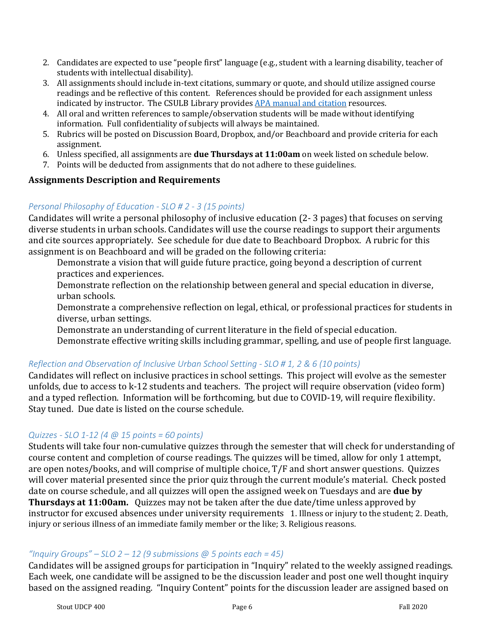- 2. Candidates are expected to use "people first" language (e.g., student with a learning disability, teacher of students with intellectual disability).
- 3. All assignments should include in-text citations, summary or quote, and should utilize assigned course readings and be reflective of this content. References should be provided for each assignment unless indicated by instructor. The CSULB Library provides [APA manual and citation](https://csulb.libguides.com/style/APA) resources.
- 4. All oral and written references to sample/observation students will be made without identifying information. Full confidentiality of subjects will always be maintained.
- 5. Rubrics will be posted on Discussion Board, Dropbox, and/or Beachboard and provide criteria for each assignment.
- 6. Unless specified, all assignments are **due Thursdays at 11:00am** on week listed on schedule below.
- 7. Points will be deducted from assignments that do not adhere to these guidelines.

### **Assignments Description and Requirements**

## *Personal Philosophy of Education - SLO # 2 - 3 (15 points)*

Candidates will write a personal philosophy of inclusive education (2- 3 pages) that focuses on serving diverse students in urban schools. Candidates will use the course readings to support their arguments and cite sources appropriately. See schedule for due date to Beachboard Dropbox. A rubric for this assignment is on Beachboard and will be graded on the following criteria:

Demonstrate a vision that will guide future practice, going beyond a description of current practices and experiences.

Demonstrate reflection on the relationship between general and special education in diverse, urban schools.

Demonstrate a comprehensive reflection on legal, ethical, or professional practices for students in diverse, urban settings.

Demonstrate an understanding of current literature in the field of special education.

Demonstrate effective writing skills including grammar, spelling, and use of people first language.

## *Reflection and Observation of Inclusive Urban School Setting - SLO # 1, 2 & 6 (10 points)*

Candidates will reflect on inclusive practices in school settings. This project will evolve as the semester unfolds, due to access to k-12 students and teachers. The project will require observation (video form) and a typed reflection. Information will be forthcoming, but due to COVID-19, will require flexibility. Stay tuned. Due date is listed on the course schedule.

### *Quizzes - SLO 1-12 (4 @ 15 points = 60 points)*

Students will take four non-cumulative quizzes through the semester that will check for understanding of course content and completion of course readings. The quizzes will be timed, allow for only 1 attempt, are open notes/books, and will comprise of multiple choice, T/F and short answer questions. Quizzes will cover material presented since the prior quiz through the current module's material. Check posted date on course schedule, and all quizzes will open the assigned week on Tuesdays and are **due by Thursdays at 11:00am.** Quizzes may not be taken after the due date/time unless approved by instructor for excused absences under university requirements 1. Illness or injury to the student; 2. Death, injury or serious illness of an immediate family member or the like; 3. Religious reasons.

### *"Inquiry Groups" – SLO 2 – 12 (9 submissions @ 5 points each = 45)*

Candidates will be assigned groups for participation in "Inquiry" related to the weekly assigned readings. Each week, one candidate will be assigned to be the discussion leader and post one well thought inquiry based on the assigned reading. "Inquiry Content" points for the discussion leader are assigned based on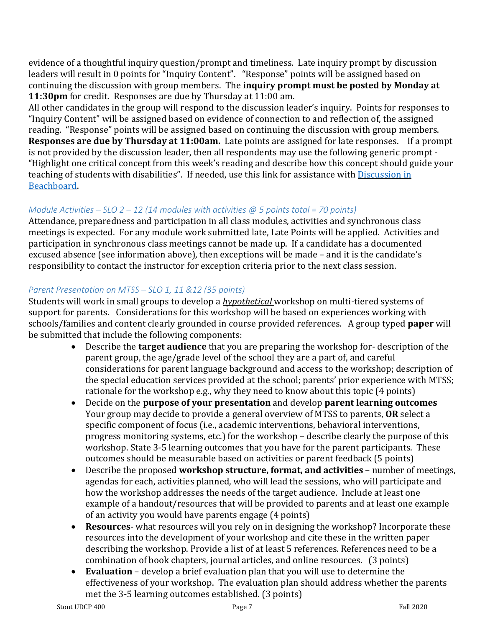evidence of a thoughtful inquiry question/prompt and timeliness. Late inquiry prompt by discussion leaders will result in 0 points for "Inquiry Content". "Response" points will be assigned based on continuing the discussion with group members. The **inquiry prompt must be posted by Monday at 11:30pm** for credit. Responses are due by Thursday at 11:00 am.

All other candidates in the group will respond to the discussion leader's inquiry. Points for responses to "Inquiry Content" will be assigned based on evidence of connection to and reflection of, the assigned reading. "Response" points will be assigned based on continuing the discussion with group members. **Responses are due by Thursday at 11:00am.** Late points are assigned for late responses. If a prompt is not provided by the discussion leader, then all respondents may use the following generic prompt - "Highlight one critical concept from this week's reading and describe how this concept should guide your teaching of students with disabilities". If needed, use this link for assistance wit[h Discussion in](https://www.csulb.edu/academic-technology-services/instructional-design/discussions-beachboard)  [Beachboard.](https://www.csulb.edu/academic-technology-services/instructional-design/discussions-beachboard) 

## *Module Activities – SLO 2 – 12 (14 modules with activities @ 5 points total = 70 points)*

Attendance, preparedness and participation in all class modules, activities and synchronous class meetings is expected. For any module work submitted late, Late Points will be applied. Activities and participation in synchronous class meetings cannot be made up. If a candidate has a documented excused absence (see information above), then exceptions will be made – and it is the candidate's responsibility to contact the instructor for exception criteria prior to the next class session.

## *Parent Presentation on MTSS – SLO 1, 11 &12 (35 points)*

Students will work in small groups to develop a *hypothetical* workshop on multi-tiered systems of support for parents. Considerations for this workshop will be based on experiences working with schools/families and content clearly grounded in course provided references. A group typed **paper** will be submitted that include the following components:

- Describe the **target audience** that you are preparing the workshop for- description of the parent group, the age/grade level of the school they are a part of, and careful considerations for parent language background and access to the workshop; description of the special education services provided at the school; parents' prior experience with MTSS; rationale for the workshop e.g., why they need to know about this topic (4 points)
- Decide on the **purpose of your presentation** and develop **parent learning outcomes** Your group may decide to provide a general overview of MTSS to parents, **OR** select a specific component of focus (i.e., academic interventions, behavioral interventions, progress monitoring systems, etc.) for the workshop – describe clearly the purpose of this workshop. State 3-5 learning outcomes that you have for the parent participants. These outcomes should be measurable based on activities or parent feedback (5 points)
- Describe the proposed **workshop structure, format, and activities** number of meetings, agendas for each, activities planned, who will lead the sessions, who will participate and how the workshop addresses the needs of the target audience. Include at least one example of a handout/resources that will be provided to parents and at least one example of an activity you would have parents engage (4 points)
- **Resources** what resources will you rely on in designing the workshop? Incorporate these resources into the development of your workshop and cite these in the written paper describing the workshop. Provide a list of at least 5 references. References need to be a combination of book chapters, journal articles, and online resources. (3 points)
- **Evaluation** develop a brief evaluation plan that you will use to determine the effectiveness of your workshop. The evaluation plan should address whether the parents met the 3-5 learning outcomes established. (3 points)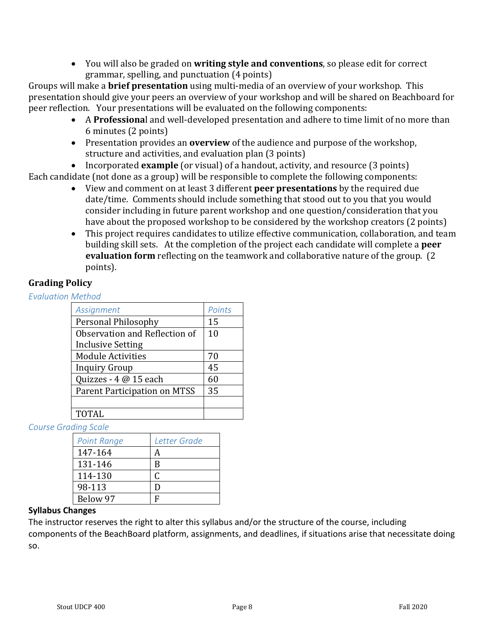• You will also be graded on **writing style and conventions**, so please edit for correct grammar, spelling, and punctuation (4 points)

Groups will make a **brief presentation** using multi-media of an overview of your workshop. This presentation should give your peers an overview of your workshop and will be shared on Beachboard for peer reflection. Your presentations will be evaluated on the following components:

- A **Professiona**l and well-developed presentation and adhere to time limit of no more than 6 minutes (2 points)
- Presentation provides an **overview** of the audience and purpose of the workshop, structure and activities, and evaluation plan (3 points)
- Incorporated **example** (or visual) of a handout, activity, and resource (3 points)

Each candidate (not done as a group) will be responsible to complete the following components:

- View and comment on at least 3 different **peer presentations** by the required due date/time. Comments should include something that stood out to you that you would consider including in future parent workshop and one question/consideration that you have about the proposed workshop to be considered by the workshop creators (2 points)
- This project requires candidates to utilize effective communication, collaboration, and team building skill sets. At the completion of the project each candidate will complete a **peer evaluation form** reflecting on the teamwork and collaborative nature of the group. (2 points).

# **Grading Policy**

*Evaluation Method* 

| Assignment                    | Points |
|-------------------------------|--------|
| Personal Philosophy           | 15     |
| Observation and Reflection of | 10     |
| <b>Inclusive Setting</b>      |        |
| <b>Module Activities</b>      | 70     |
| <b>Inquiry Group</b>          | 45     |
| Quizzes - 4 @ 15 each         | 60     |
| Parent Participation on MTSS  | 35     |
|                               |        |
| TOTAL                         |        |

*Course Grading Scale* 

| <b>Point Range</b> | Letter Grade |
|--------------------|--------------|
| 147-164            |              |
| 131-146            | B            |
| 114-130            | C            |
| 98-113             | נ ו          |
| Below 97           |              |

### **Syllabus Changes**

The instructor reserves the right to alter this syllabus and/or the structure of the course, including components of the BeachBoard platform, assignments, and deadlines, if situations arise that necessitate doing so.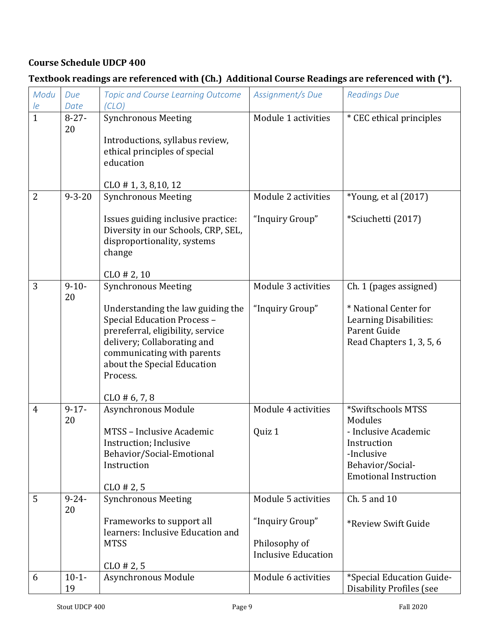# **Course Schedule UDCP 400**

# **Textbook readings are referenced with (Ch.) Additional Course Readings are referenced with (\*).**

| Modu           | Due              | <b>Topic and Course Learning Outcome</b>                                                                           | Assignment/s Due           | <b>Readings Due</b>                 |
|----------------|------------------|--------------------------------------------------------------------------------------------------------------------|----------------------------|-------------------------------------|
| le             | Date             | (CLO)                                                                                                              |                            |                                     |
| $\mathbf{1}$   | $8 - 27 -$<br>20 | <b>Synchronous Meeting</b>                                                                                         | Module 1 activities        | * CEC ethical principles            |
|                |                  | Introductions, syllabus review,                                                                                    |                            |                                     |
|                |                  | ethical principles of special<br>education                                                                         |                            |                                     |
|                |                  |                                                                                                                    |                            |                                     |
|                |                  | $CLO$ # 1, 3, 8, 10, 12                                                                                            |                            |                                     |
| $\overline{2}$ | $9 - 3 - 20$     | <b>Synchronous Meeting</b>                                                                                         | Module 2 activities        | *Young, et al (2017)                |
|                |                  | Issues guiding inclusive practice:<br>Diversity in our Schools, CRP, SEL,<br>disproportionality, systems<br>change | "Inquiry Group"            | *Sciuchetti (2017)                  |
|                |                  | $CLO$ # 2, 10                                                                                                      |                            |                                     |
| 3              | $9 - 10 -$       | <b>Synchronous Meeting</b>                                                                                         | Module 3 activities        | Ch. 1 (pages assigned)              |
|                | 20               | Understanding the law guiding the                                                                                  | "Inquiry Group"            | * National Center for               |
|                |                  | Special Education Process -                                                                                        |                            | Learning Disabilities:              |
|                |                  | prereferral, eligibility, service                                                                                  |                            | Parent Guide                        |
|                |                  | delivery; Collaborating and<br>communicating with parents                                                          |                            | Read Chapters 1, 3, 5, 6            |
|                |                  | about the Special Education                                                                                        |                            |                                     |
|                |                  | Process.                                                                                                           |                            |                                     |
|                |                  | $CLO \# 6, 7, 8$                                                                                                   |                            |                                     |
| 4              | $9 - 17 -$       | Asynchronous Module                                                                                                | Module 4 activities        | *Swiftschools MTSS                  |
|                | 20               |                                                                                                                    |                            | Modules                             |
|                |                  | MTSS - Inclusive Academic<br>Instruction; Inclusive                                                                | Quiz 1                     | - Inclusive Academic<br>Instruction |
|                |                  | Behavior/Social-Emotional                                                                                          |                            | -Inclusive                          |
|                |                  | Instruction                                                                                                        |                            | Behavior/Social-                    |
|                |                  |                                                                                                                    |                            | <b>Emotional Instruction</b>        |
| 5              | $9 - 24 -$       | $CLO \# 2, 5$<br><b>Synchronous Meeting</b>                                                                        | Module 5 activities        | Ch. 5 and 10                        |
|                | 20               |                                                                                                                    |                            |                                     |
|                |                  | Frameworks to support all                                                                                          | "Inquiry Group"            | *Review Swift Guide                 |
|                |                  | learners: Inclusive Education and<br><b>MTSS</b>                                                                   | Philosophy of              |                                     |
|                |                  |                                                                                                                    | <b>Inclusive Education</b> |                                     |
|                |                  | $CLO$ # 2, 5                                                                                                       |                            |                                     |
| 6              | $10-1-$          | Asynchronous Module                                                                                                | Module 6 activities        | *Special Education Guide-           |
|                | 19               |                                                                                                                    |                            | <b>Disability Profiles (see</b>     |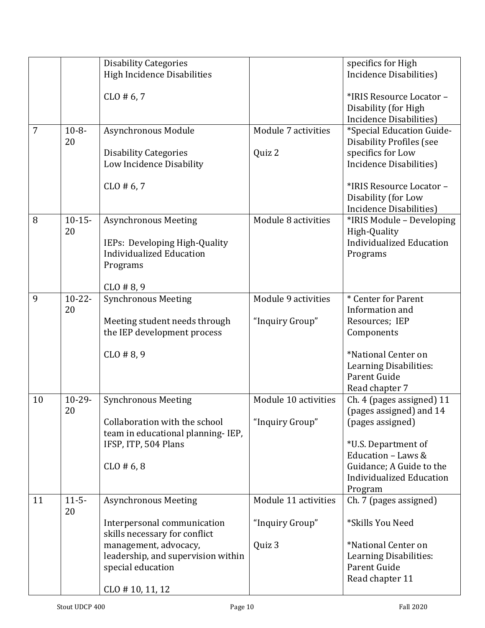|    |                  | <b>Disability Categories</b>                                                 |                      | specifics for High                                                              |
|----|------------------|------------------------------------------------------------------------------|----------------------|---------------------------------------------------------------------------------|
|    |                  | <b>High Incidence Disabilities</b>                                           |                      | Incidence Disabilities)                                                         |
|    |                  | $CLO \# 6, 7$                                                                |                      | *IRIS Resource Locator -<br>Disability (for High<br>Incidence Disabilities)     |
| 7  | $10 - 8 -$       | Asynchronous Module                                                          | Module 7 activities  | *Special Education Guide-                                                       |
|    | 20               |                                                                              |                      | <b>Disability Profiles (see</b>                                                 |
|    |                  | <b>Disability Categories</b><br>Low Incidence Disability                     | Quiz 2               | specifics for Low<br>Incidence Disabilities)                                    |
|    |                  | $CLO \# 6, 7$                                                                |                      | *IRIS Resource Locator -<br>Disability (for Low<br>Incidence Disabilities)      |
| 8  | $10-15-$         | <b>Asynchronous Meeting</b>                                                  | Module 8 activities  | *IRIS Module - Developing                                                       |
|    | 20               | IEPs: Developing High-Quality<br><b>Individualized Education</b><br>Programs |                      | High-Quality<br><b>Individualized Education</b><br>Programs                     |
|    |                  | $CLO$ # 8, 9                                                                 |                      |                                                                                 |
| 9  | $10-22-$         | <b>Synchronous Meeting</b>                                                   | Module 9 activities  | * Center for Parent                                                             |
|    | 20               |                                                                              |                      | Information and                                                                 |
|    |                  | Meeting student needs through                                                | "Inquiry Group"      | Resources; IEP                                                                  |
|    |                  | the IEP development process                                                  |                      | Components                                                                      |
|    |                  | $CLO$ # 8, 9                                                                 |                      | *National Center on<br>Learning Disabilities:<br>Parent Guide<br>Read chapter 7 |
| 10 | $10-29-$         | <b>Synchronous Meeting</b>                                                   | Module 10 activities | Ch. 4 (pages assigned) 11                                                       |
|    | 20               |                                                                              |                      | (pages assigned) and 14                                                         |
|    |                  | Collaboration with the school                                                | "Inquiry Group"      | (pages assigned)                                                                |
|    |                  | team in educational planning-IEP,<br>IFSP, ITP, 504 Plans                    |                      | *U.S. Department of                                                             |
|    |                  |                                                                              |                      | Education - Laws &                                                              |
|    |                  | $CLO$ # 6,8                                                                  |                      | Guidance; A Guide to the                                                        |
|    |                  |                                                                              |                      | <b>Individualized Education</b>                                                 |
| 11 | $11 - 5 -$<br>20 | <b>Asynchronous Meeting</b>                                                  | Module 11 activities | Program<br>Ch. 7 (pages assigned)                                               |
|    |                  | Interpersonal communication<br>skills necessary for conflict                 | "Inquiry Group"      | *Skills You Need                                                                |
|    |                  | management, advocacy,                                                        | Quiz 3               | *National Center on                                                             |
|    |                  | leadership, and supervision within                                           |                      | Learning Disabilities:                                                          |
|    |                  | special education                                                            |                      | Parent Guide                                                                    |
|    |                  |                                                                              |                      | Read chapter 11                                                                 |
|    |                  | $CL0 \# 10, 11, 12$                                                          |                      |                                                                                 |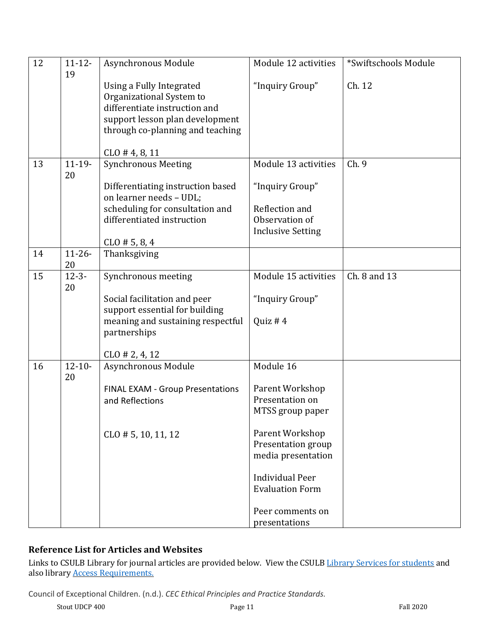| 12 | $11 - 12 -$<br>19 | Asynchronous Module                                                                                                                                          | Module 12 activities             | *Swiftschools Module |
|----|-------------------|--------------------------------------------------------------------------------------------------------------------------------------------------------------|----------------------------------|----------------------|
|    |                   | Using a Fully Integrated<br>Organizational System to<br>differentiate instruction and<br>support lesson plan development<br>through co-planning and teaching | "Inquiry Group"                  | Ch. 12               |
|    |                   | $CLO$ # 4, 8, 11                                                                                                                                             |                                  |                      |
| 13 | $11 - 19 -$<br>20 | <b>Synchronous Meeting</b>                                                                                                                                   | Module 13 activities             | Ch. 9                |
|    |                   | Differentiating instruction based<br>on learner needs - UDL;                                                                                                 | "Inquiry Group"                  |                      |
|    |                   | scheduling for consultation and<br>differentiated instruction                                                                                                | Reflection and<br>Observation of |                      |
|    |                   |                                                                                                                                                              | <b>Inclusive Setting</b>         |                      |
|    |                   | $CLO \# 5, 8, 4$                                                                                                                                             |                                  |                      |
| 14 | $11 - 26 -$<br>20 | Thanksgiving                                                                                                                                                 |                                  |                      |
| 15 | $12 - 3 -$<br>20  | Synchronous meeting                                                                                                                                          | Module 15 activities             | Ch. 8 and 13         |
|    |                   | Social facilitation and peer<br>support essential for building                                                                                               | "Inquiry Group"                  |                      |
|    |                   | meaning and sustaining respectful<br>partnerships                                                                                                            | Quiz # $4$                       |                      |
|    |                   | $CLO \# 2, 4, 12$                                                                                                                                            |                                  |                      |
| 16 | $12 - 10 -$<br>20 | Asynchronous Module                                                                                                                                          | Module 16                        |                      |
|    |                   | FINAL EXAM - Group Presentations                                                                                                                             | Parent Workshop                  |                      |
|    |                   | and Reflections                                                                                                                                              | Presentation on                  |                      |
|    |                   |                                                                                                                                                              | MTSS group paper                 |                      |
|    |                   | $CLO$ # 5, 10, 11, 12                                                                                                                                        | Parent Workshop                  |                      |
|    |                   |                                                                                                                                                              | Presentation group               |                      |
|    |                   |                                                                                                                                                              | media presentation               |                      |
|    |                   |                                                                                                                                                              | <b>Individual Peer</b>           |                      |
|    |                   |                                                                                                                                                              | <b>Evaluation Form</b>           |                      |
|    |                   |                                                                                                                                                              | Peer comments on                 |                      |
|    |                   |                                                                                                                                                              | presentations                    |                      |

## **Reference List for Articles and Websites**

Links to CSULB Library for journal articles are provided below. View the CSULB [Library Services for students](https://www.csulb.edu/university-library/services/services-for-students) and also library [Access Requirements.](https://www.csulb.edu/university-library/services/how-to/access-requirements) 

Council of Exceptional Children. (n.d.). *CEC Ethical Principles and Practice Standards.*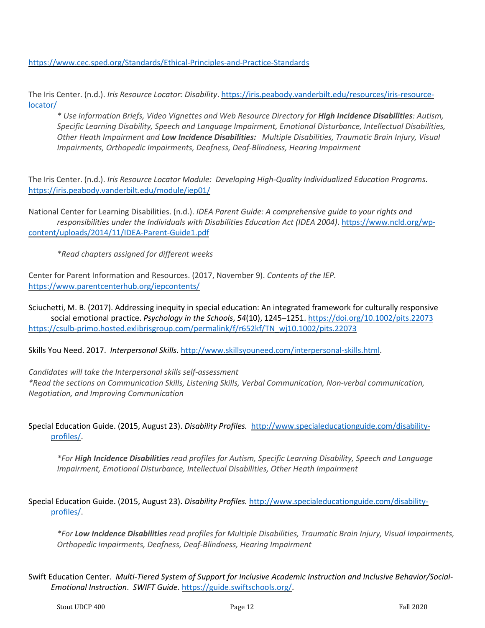<https://www.cec.sped.org/Standards/Ethical-Principles-and-Practice-Standards>

The Iris Center. (n.d.). *Iris Resource Locator: Disability*[. https://iris.peabody.vanderbilt.edu/resources/iris-resource](https://iris.peabody.vanderbilt.edu/resources/iris-resource-locator/)[locator/](https://iris.peabody.vanderbilt.edu/resources/iris-resource-locator/)

*\* Use Information Briefs, Video Vignettes and Web Resource Directory for High Incidence Disabilities: Autism, Specific Learning Disability, Speech and Language Impairment, Emotional Disturbance, Intellectual Disabilities, Other Heath Impairment and Low Incidence Disabilities: Multiple Disabilities, Traumatic Brain Injury, Visual Impairments, Orthopedic Impairments, Deafness, Deaf-Blindness, Hearing Impairment*

The Iris Center. (n.d.). *Iris Resource Locator Module: Developing High-Quality Individualized Education Programs*. <https://iris.peabody.vanderbilt.edu/module/iep01/>

National Center for Learning Disabilities. (n.d.). *IDEA Parent Guide: A comprehensive guide to your rights and responsibilities under the Individuals with Disabilities Education Act (IDEA 2004)*. [https://www.ncld.org/wp](https://www.ncld.org/wp-content/uploads/2014/11/IDEA-Parent-Guide1.pdf)[content/uploads/2014/11/IDEA-Parent-Guide1.pdf](https://www.ncld.org/wp-content/uploads/2014/11/IDEA-Parent-Guide1.pdf)

*\*Read chapters assigned for different weeks*

Center for Parent Information and Resources. (2017, November 9). *Contents of the IEP.* <https://www.parentcenterhub.org/iepcontents/>

Sciuchetti, M. B. (2017). Addressing inequity in special education: An integrated framework for culturally responsive social emotional practice. *Psychology in the Schools*, *54*(10), 1245–1251.<https://doi.org/10.1002/pits.22073> [https://csulb-primo.hosted.exlibrisgroup.com/permalink/f/r652kf/TN\\_wj10.1002/pits.22073](https://csulb-primo.hosted.exlibrisgroup.com/permalink/f/r652kf/TN_wj10.1002/pits.22073)

Skills You Need. 2017. *Interpersonal Skills*. [http://www.skillsyouneed.com/interpersonal-skills.html.](http://www.skillsyouneed.com/interpersonal-skills.html)

*Candidates will take the Interpersonal skills self-assessment \*Read the sections on Communication Skills, Listening Skills, Verbal Communication, Non-verbal communication, Negotiation, and Improving Communication*

Special Education Guide. (2015, August 23). *Disability Profiles.* [http://www.specialeducationguide.com/disability](http://www.specialeducationguide.com/disability-profiles/)[profiles/.](http://www.specialeducationguide.com/disability-profiles/)

*\*For High Incidence Disabilities read profiles for Autism, Specific Learning Disability, Speech and Language Impairment, Emotional Disturbance, Intellectual Disabilities, Other Heath Impairment*

Special Education Guide. (2015, August 23). *Disability Profiles.* [http://www.specialeducationguide.com/disability](http://www.specialeducationguide.com/disability-profiles/)[profiles/.](http://www.specialeducationguide.com/disability-profiles/)

*\*For Low Incidence Disabilities read profiles for Multiple Disabilities, Traumatic Brain Injury, Visual Impairments, Orthopedic Impairments, Deafness, Deaf-Blindness, Hearing Impairment*

Swift Education Center. *Multi-Tiered System of Support for Inclusive Academic Instruction and Inclusive Behavior/Social-Emotional Instruction*. *SWIFT Guide.* [https://guide.swiftschools.org/.](https://guide.swiftschools.org/)